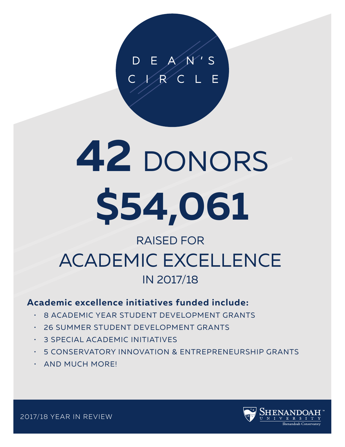# **42** DONORS **\$54,061**

## RAISED FOR ACADEMIC EXCELLENCE IN 2017/18

#### **Academic excellence initiatives funded include:**

- 8 ACADEMIC YEAR STUDENT DEVELOPMENT GRANTS
- 26 SUMMER STUDENT DEVELOPMENT GRANTS
- 3 SPECIAL ACADEMIC INITIATIVES
- 5 CONSERVATORY INNOVATION & ENTREPRENEURSHIP GRANTS
- AND MUCH MORE!



2017/18 YEAR IN REVIEW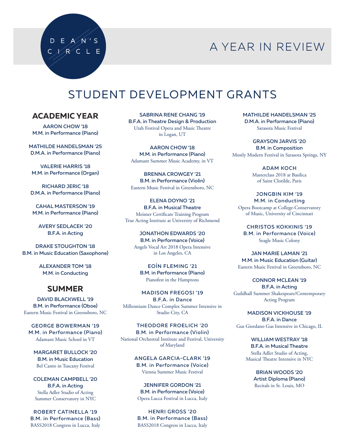## A YEAR IN REVIEW

## STUDENT DEVELOPMENT GRANTS

#### **ACADEMIC YEAR**

 $D E A/N'S$ C X R C L E

AARON CHOW '18 M.M. in Performance (Piano)

MATHILDE HANDELSMAN '25 D.M.A. in Performance (Piano)

VALERIE HARRIS '18 M.M. in Performance (Organ)

RICHARD JERIC '18 D.M.A. in Performance (Piano)

CAHAL MASTERSON '19 M.M. in Performance (Piano)

AVERY SEDLACEK '20 B.F.A. in Acting

DRAKE STOUGHTON '18 B.M. in Music Education (Saxophone)

> ALEXANDER TOM '18 M.M. in Conducting

#### **SUMMER**

DAVID BLACKWELL '19 B.M. in Performance (Oboe) Eastern Music Festival in Greensboro, NC

GEORGE BOWERMAN '19 M.M. in Performance (Piano) Adamant Music School in VT

MARGARET BULLOCK '20 B.M. in Music Education Bel Canto in Tuscany Festival

COLEMAN CAMPBELL '20 B.F.A. in Acting Stella Adler Studio of Acting Summer Conservatory in NYC

ROBERT CATINELLA '19 B.M. in Performance (Bass) BASS2018 Congress in Lucca, Italy

SABRINA RENE CHANG '19 B.F.A. in Theatre Design & Production Utah Festival Opera and Music Theatre in Logan, UT

AARON CHOW '18 M.M. in Performance (Piano) Adamant Summer Music Academy, in VT

BRENNA CROWGEY '21 B.M. in Performance (Violin) Eastern Music Festival in Greensboro, NC

ELENA DOYNO '21 B.F.A. in Musical Theatre Meisner Certificate Training Program True Acting Institute at University of Richmond

JONATHON EDWARDS '20 B.M. in Performance (Voice) Angels Vocal Art 2018 Opera Intensive in Los Angeles, CA

EOÍN FLEMING '21 B.M. in Performance (Piano) Pianofest in the Hamptons

MADISON FREGOSI '19 B.F.A. in Dance Millennium Dance Complex Summer Intensive in Studio City, CA

THEODORE FROELICH '20 B.M. in Performance (Violin) National Orchestral Institute and Festival, University of Maryland

> ANGELA GARCIA-CLARK '19 B.M. in Performance (Voice) Vienna Summer Music Festival

JENNIFER GORDON '21 B.M. in Performance (Voice) Opera Lucca Festival in Lucca, Italy

HENRI GROSS '20 B.M. in Performance (Bass) BASS2018 Congress in Lucca, Italy MATHILDE HANDELSMAN '25 D.M.A. in Performance (Piano) Sarasota Music Festival

GRAYSON JARVIS '20 B.M. in Composition Mostly Modern Festival in Sarasota Springs, NY

> ADAM KOCH Masterclass 2018 at Basilica of Saint Clotilde, Paris

JONGBIN KIM '19 M.M. in Conducting Opera Bootcamp at College-Conservatory of Music, University of Cincinnati

CHRISTOS KOKKINIS '19 B.M. in Performance (Voice) Seagle Music Colony

JAN MARIE LAMAN '21 M.M. in Music Education (Guitar) Eastern Music Festival in Greensboro, NC

CONNOR MCLEAN '19 B.F.A. in Acting Guildhall Summer Shakespeare/Contemporary Acting Program

MADISON VICKHOUSE '19 B.F.A. in Dance Gus Giordano Gus Intensive in Chicago, IL

> WILLIAM WESTRAY '18 B.F.A. in Musical Theatre Stella Adler Studio of Acting, Musical Theatre Intensive in NYC

> > BRIAN WOODS '20 Artist Diploma (Piano) Recitals in St. Louis, MO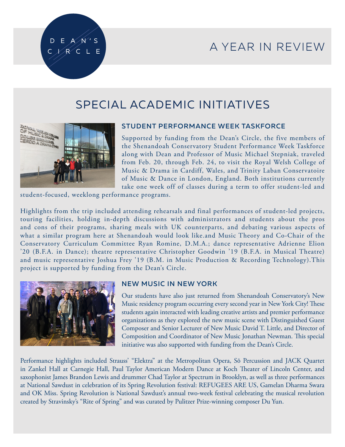## A YEAR IN REVIEW



#### SPECIAL ACADEMIC INITIATIVES



#### STUDENT PERFORMANCE WEEK TASKFORCE

Supported by funding from the Dean's Circle, the five members of the Shenandoah Conservatory Student Performance Week Taskforce along with Dean and Professor of Music Michael Stepniak, traveled from Feb. 20, through Feb. 24, to visit the Royal Welsh College of Music & Drama in Cardiff, Wales, and Trinity Laban Conservatoire of Music & Dance in London, England. Both institutions currently take one week off of classes during a term to offer student-led and

student-focused, weeklong performance programs.

Highlights from the trip included attending rehearsals and final performances of student-led projects, touring facilities, holding in-depth discussions with administrators and students about the pros and cons of their programs, sharing meals with UK counterparts, and debating various aspects of what a similar program here at Shenandoah would look like.and Music Theory and Co-Chair of the Conservatory Curriculum Committee Ryan Romine, D.M.A.; dance representative Adrienne Elion '20 (B.F.A. in Dance); theatre representative Christopher Goodwin '19 (B.F.A. in Musical Theatre) and music representative Joshua Frey '19 (B.M. in Music Production & Recording Technology).This project is supported by funding from the Dean's Circle.



#### NEW MUSIC IN NEW YORK

Our students have also just returned from Shenandoah Conservatory's New Music residency program occurring every second year in New York City! These students again interacted with leading creative artists and premier performance organizations as they explored the new music scene with Distinguished Guest Composer and Senior Lecturer of New Music David T. Little, and Director of Composition and Coordinator of New Music Jonathan Newman. This special initiative was also supported with funding from the Dean's Circle.

Performance highlights included Strauss' "Elektra" at the Metropolitan Opera, Sō Percussion and JACK Quartet in Zankel Hall at Carnegie Hall, Paul Taylor American Modern Dance at Koch Theater of Lincoln Center, and saxophonist James Brandon Lewis and drummer Chad Taylor at Spectrum in Brooklyn, as well as three performances at National Sawdust in celebration of its Spring Revolution festival: REFUGEES ARE US, Gamelan Dharma Swara and OK Miss. Spring Revolution is National Sawdust's annual two-week festival celebrating the musical revolution created by Stravinsky's "Rite of Spring" and was curated by Pulitzer Prize-winning composer Du Yun.